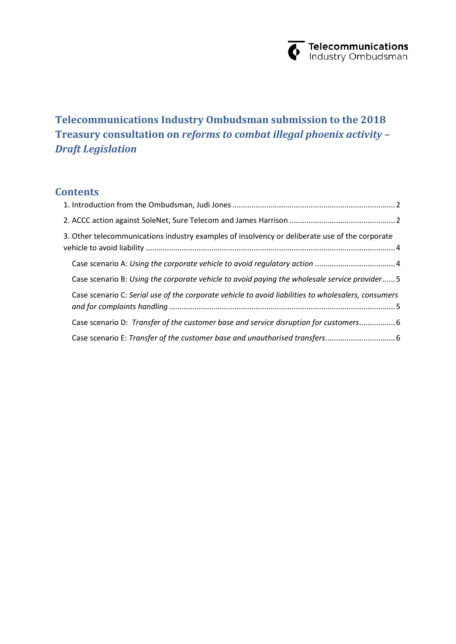

# **Telecommunications Industry Ombudsman submission to the 2018 Treasury consultation on** *reforms to combat illegal phoenix activity – Draft Legislation*

### **Contents**

| 3. Other telecommunications industry examples of insolvency or deliberate use of the corporate      |  |
|-----------------------------------------------------------------------------------------------------|--|
|                                                                                                     |  |
| Case scenario B: Using the corporate vehicle to avoid paying the wholesale service provider 5       |  |
| Case scenario C: Serial use of the corporate vehicle to avoid liabilities to wholesalers, consumers |  |
| Case scenario D: Transfer of the customer base and service disruption for customers 6               |  |
|                                                                                                     |  |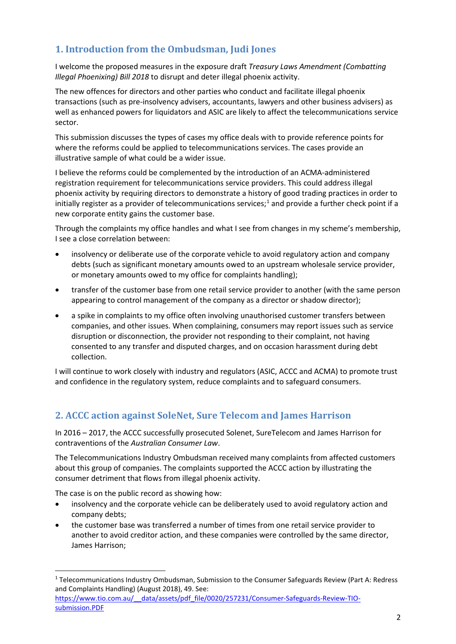## <span id="page-1-0"></span>**1. Introduction from the Ombudsman, Judi Jones**

I welcome the proposed measures in the exposure draft *Treasury Laws Amendment (Combatting Illegal Phoenixing) Bill 2018* to disrupt and deter illegal phoenix activity.

The new offences for directors and other parties who conduct and facilitate illegal phoenix transactions (such as pre-insolvency advisers, accountants, lawyers and other business advisers) as well as enhanced powers for liquidators and ASIC are likely to affect the telecommunications service sector.

This submission discusses the types of cases my office deals with to provide reference points for where the reforms could be applied to telecommunications services. The cases provide an illustrative sample of what could be a wider issue.

I believe the reforms could be complemented by the introduction of an ACMA-administered registration requirement for telecommunications service providers. This could address illegal phoenix activity by requiring directors to demonstrate a history of good trading practices in order to initially register as a provider of telecommunications services;<sup>[1](#page-1-2)</sup> and provide a further check point if a new corporate entity gains the customer base.

Through the complaints my office handles and what I see from changes in my scheme's membership, I see a close correlation between:

- insolvency or deliberate use of the corporate vehicle to avoid regulatory action and company debts (such as significant monetary amounts owed to an upstream wholesale service provider, or monetary amounts owed to my office for complaints handling);
- transfer of the customer base from one retail service provider to another (with the same person appearing to control management of the company as a director or shadow director);
- a spike in complaints to my office often involving unauthorised customer transfers between companies, and other issues. When complaining, consumers may report issues such as service disruption or disconnection, the provider not responding to their complaint, not having consented to any transfer and disputed charges, and on occasion harassment during debt collection.

I will continue to work closely with industry and regulators (ASIC, ACCC and ACMA) to promote trust and confidence in the regulatory system, reduce complaints and to safeguard consumers.

### <span id="page-1-1"></span>**2. ACCC action against SoleNet, Sure Telecom and James Harrison**

In 2016 – 2017, the ACCC successfully prosecuted Solenet, SureTelecom and James Harrison for contraventions of the *Australian Consumer Law*.

The Telecommunications Industry Ombudsman received many complaints from affected customers about this group of companies. The complaints supported the ACCC action by illustrating the consumer detriment that flows from illegal phoenix activity.

The case is on the public record as showing how:

- insolvency and the corporate vehicle can be deliberately used to avoid regulatory action and company debts;
- the customer base was transferred a number of times from one retail service provider to another to avoid creditor action, and these companies were controlled by the same director, James Harrison;

[https://www.tio.com.au/\\_\\_data/assets/pdf\\_file/0020/257231/Consumer-Safeguards-Review-TIO](https://www.tio.com.au/__data/assets/pdf_file/0020/257231/Consumer-Safeguards-Review-TIO-submission.PDF)[submission.PDF](https://www.tio.com.au/__data/assets/pdf_file/0020/257231/Consumer-Safeguards-Review-TIO-submission.PDF)

<span id="page-1-2"></span> $1$  Telecommunications Industry Ombudsman, Submission to the Consumer Safeguards Review (Part A: Redress and Complaints Handling) (August 2018), 49. See: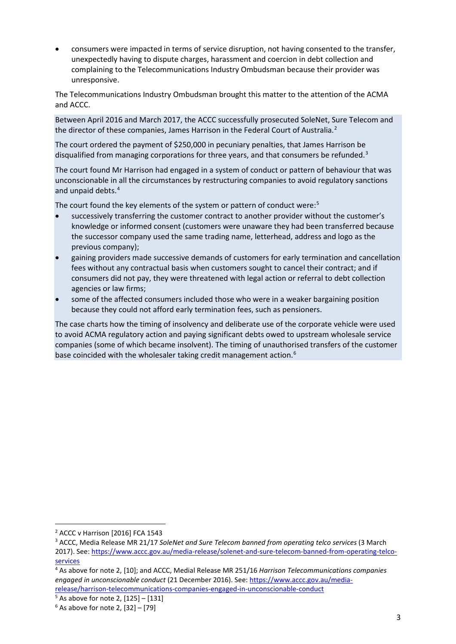• consumers were impacted in terms of service disruption, not having consented to the transfer, unexpectedly having to dispute charges, harassment and coercion in debt collection and complaining to the Telecommunications Industry Ombudsman because their provider was unresponsive.

The Telecommunications Industry Ombudsman brought this matter to the attention of the ACMA and ACCC.

Between April 2016 and March 2017, the ACCC successfully prosecuted SoleNet, Sure Telecom and the director of these companies, James Harrison in the Federal Court of Australia.<sup>[2](#page-2-0)</sup>

The court ordered the payment of \$250,000 in pecuniary penalties, that James Harrison be disqualified from managing corporations for three years, and that consumers be refunded.<sup>[3](#page-2-1)</sup>

The court found Mr Harrison had engaged in a system of conduct or pattern of behaviour that was unconscionable in all the circumstances by restructuring companies to avoid regulatory sanctions and unpaid debts.<sup>[4](#page-2-2)</sup>

The court found the key elements of the system or pattern of conduct were:<sup>[5](#page-2-3)</sup>

- successively transferring the customer contract to another provider without the customer's knowledge or informed consent (customers were unaware they had been transferred because the successor company used the same trading name, letterhead, address and logo as the previous company);
- gaining providers made successive demands of customers for early termination and cancellation fees without any contractual basis when customers sought to cancel their contract; and if consumers did not pay, they were threatened with legal action or referral to debt collection agencies or law firms;
- some of the affected consumers included those who were in a weaker bargaining position because they could not afford early termination fees, such as pensioners.

The case charts how the timing of insolvency and deliberate use of the corporate vehicle were used to avoid ACMA regulatory action and paying significant debts owed to upstream wholesale service companies (some of which became insolvent). The timing of unauthorised transfers of the customer base coincided with the wholesaler taking credit management action.<sup>[6](#page-2-4)</sup>

[release/harrison-telecommunications-companies-engaged-in-unconscionable-conduct](https://www.accc.gov.au/media-release/harrison-telecommunications-companies-engaged-in-unconscionable-conduct)

<span id="page-2-0"></span> <sup>2</sup> ACCC v Harrison [2016] FCA 1543

<span id="page-2-1"></span><sup>3</sup> ACCC, Media Release MR 21/17 *SoleNet and Sure Telecom banned from operating telco services* (3 March 2017). See[: https://www.accc.gov.au/media-release/solenet-and-sure-telecom-banned-from-operating-telco](https://www.accc.gov.au/media-release/solenet-and-sure-telecom-banned-from-operating-telco-services)[services](https://www.accc.gov.au/media-release/solenet-and-sure-telecom-banned-from-operating-telco-services)

<span id="page-2-2"></span><sup>4</sup> As above for note 2, [10]; and ACCC, Medial Release MR 251/16 *Harrison Telecommunications companies engaged in unconscionable conduct* (21 December 2016). See: [https://www.accc.gov.au/media-](https://www.accc.gov.au/media-release/harrison-telecommunications-companies-engaged-in-unconscionable-conduct)

<span id="page-2-3"></span><sup>&</sup>lt;sup>5</sup> As above for note 2,  $[125] - [131]$ <br><sup>6</sup> As above for note 2,  $[32] - [79]$ 

<span id="page-2-4"></span>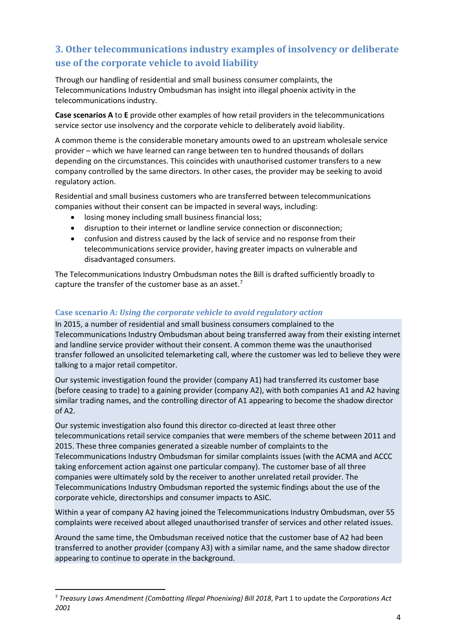# <span id="page-3-0"></span>**3. Other telecommunications industry examples of insolvency or deliberate use of the corporate vehicle to avoid liability**

Through our handling of residential and small business consumer complaints, the Telecommunications Industry Ombudsman has insight into illegal phoenix activity in the telecommunications industry.

**Case scenarios A** to **E** provide other examples of how retail providers in the telecommunications service sector use insolvency and the corporate vehicle to deliberately avoid liability.

A common theme is the considerable monetary amounts owed to an upstream wholesale service provider – which we have learned can range between ten to hundred thousands of dollars depending on the circumstances. This coincides with unauthorised customer transfers to a new company controlled by the same directors. In other cases, the provider may be seeking to avoid regulatory action.

Residential and small business customers who are transferred between telecommunications companies without their consent can be impacted in several ways, including:

- losing money including small business financial loss;
- disruption to their internet or landline service connection or disconnection;
- confusion and distress caused by the lack of service and no response from their telecommunications service provider, having greater impacts on vulnerable and disadvantaged consumers.

The Telecommunications Industry Ombudsman notes the Bill is drafted sufficiently broadly to capture the transfer of the customer base as an asset.<sup>[7](#page-3-2)</sup>

### <span id="page-3-1"></span>**Case scenario A:** *Using the corporate vehicle to avoid regulatory action*

In 2015, a number of residential and small business consumers complained to the Telecommunications Industry Ombudsman about being transferred away from their existing internet and landline service provider without their consent. A common theme was the unauthorised transfer followed an unsolicited telemarketing call, where the customer was led to believe they were talking to a major retail competitor.

Our systemic investigation found the provider (company A1) had transferred its customer base (before ceasing to trade) to a gaining provider (company A2), with both companies A1 and A2 having similar trading names, and the controlling director of A1 appearing to become the shadow director of A2.

Our systemic investigation also found this director co-directed at least three other telecommunications retail service companies that were members of the scheme between 2011 and 2015. These three companies generated a sizeable number of complaints to the Telecommunications Industry Ombudsman for similar complaints issues (with the ACMA and ACCC taking enforcement action against one particular company). The customer base of all three companies were ultimately sold by the receiver to another unrelated retail provider. The Telecommunications Industry Ombudsman reported the systemic findings about the use of the corporate vehicle, directorships and consumer impacts to ASIC.

Within a year of company A2 having joined the Telecommunications Industry Ombudsman, over 55 complaints were received about alleged unauthorised transfer of services and other related issues.

Around the same time, the Ombudsman received notice that the customer base of A2 had been transferred to another provider (company A3) with a similar name, and the same shadow director appearing to continue to operate in the background.

<span id="page-3-2"></span> <sup>7</sup> *Treasury Laws Amendment (Combatting Illegal Phoenixing) Bill 2018*, Part 1 to update the *Corporations Act 2001*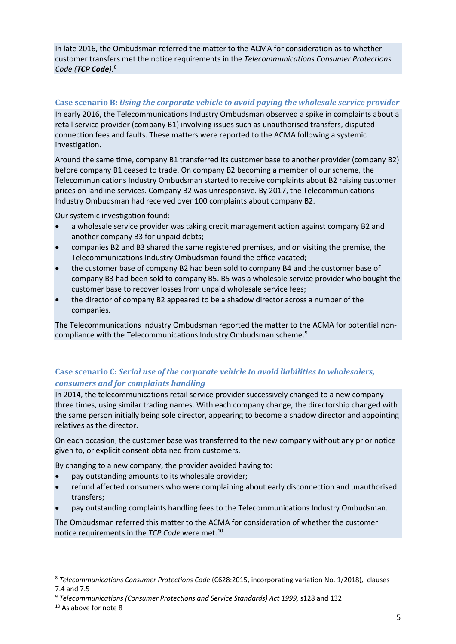In late 2016, the Ombudsman referred the matter to the ACMA for consideration as to whether customer transfers met the notice requirements in the *Telecommunications Consumer Protections Code (TCP Code)*. [8](#page-4-2)

#### <span id="page-4-0"></span>**Case scenario B:** *Using the corporate vehicle to avoid paying the wholesale service provider*

In early 2016, the Telecommunications Industry Ombudsman observed a spike in complaints about a retail service provider (company B1) involving issues such as unauthorised transfers, disputed connection fees and faults. These matters were reported to the ACMA following a systemic investigation.

Around the same time, company B1 transferred its customer base to another provider (company B2) before company B1 ceased to trade. On company B2 becoming a member of our scheme, the Telecommunications Industry Ombudsman started to receive complaints about B2 raising customer prices on landline services. Company B2 was unresponsive. By 2017, the Telecommunications Industry Ombudsman had received over 100 complaints about company B2.

Our systemic investigation found:

- a wholesale service provider was taking credit management action against company B2 and another company B3 for unpaid debts;
- companies B2 and B3 shared the same registered premises, and on visiting the premise, the Telecommunications Industry Ombudsman found the office vacated;
- the customer base of company B2 had been sold to company B4 and the customer base of company B3 had been sold to company B5. B5 was a wholesale service provider who bought the customer base to recover losses from unpaid wholesale service fees;
- the director of company B2 appeared to be a shadow director across a number of the companies.

The Telecommunications Industry Ombudsman reported the matter to the ACMA for potential noncompliance with the Telecommunications Industry Ombudsman scheme.[9](#page-4-3)

### <span id="page-4-1"></span>**Case scenario C:** *Serial use of the corporate vehicle to avoid liabilities to wholesalers, consumers and for complaints handling*

In 2014, the telecommunications retail service provider successively changed to a new company three times, using similar trading names. With each company change, the directorship changed with the same person initially being sole director, appearing to become a shadow director and appointing relatives as the director.

On each occasion, the customer base was transferred to the new company without any prior notice given to, or explicit consent obtained from customers.

By changing to a new company, the provider avoided having to:

- pay outstanding amounts to its wholesale provider;
- refund affected consumers who were complaining about early disconnection and unauthorised transfers;
- pay outstanding complaints handling fees to the Telecommunications Industry Ombudsman.

The Ombudsman referred this matter to the ACMA for consideration of whether the customer notice requirements in the *TCP Code* were met. [10](#page-4-4)

<span id="page-4-2"></span> <sup>8</sup> *Telecommunications Consumer Protections Code* (C628:2015, incorporating variation No. 1/2018)*,* clauses 7.4 and 7.5

<span id="page-4-3"></span><sup>9</sup> *Telecommunications (Consumer Protections and Service Standards) Act 1999,* s128 and 132

<span id="page-4-4"></span><sup>10</sup> As above for note 8